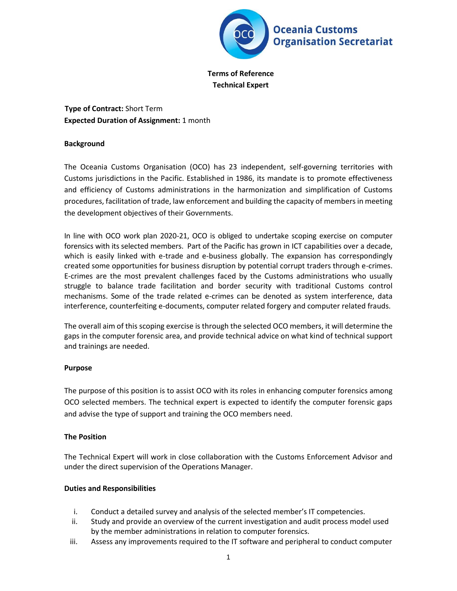

**Terms of Reference Technical Expert** 

**Type of Contract:** Short Term **Expected Duration of Assignment:** 1 month

### **Background**

The Oceania Customs Organisation (OCO) has 23 independent, self-governing territories with Customs jurisdictions in the Pacific. Established in 1986, its mandate is to promote effectiveness and efficiency of Customs administrations in the harmonization and simplification of Customs procedures, facilitation of trade, law enforcement and building the capacity of members in meeting the development objectives of their Governments.

In line with OCO work plan 2020-21, OCO is obliged to undertake scoping exercise on computer forensics with its selected members. Part of the Pacific has grown in ICT capabilities over a decade, which is easily linked with e-trade and e-business globally. The expansion has correspondingly created some opportunities for business disruption by potential corrupt traders through e-crimes. E-crimes are the most prevalent challenges faced by the Customs administrations who usually struggle to balance trade facilitation and border security with traditional Customs control mechanisms. Some of the trade related e-crimes can be denoted as system interference, data interference, counterfeiting e-documents, computer related forgery and computer related frauds.

The overall aim of this scoping exercise is through the selected OCO members, it will determine the gaps in the computer forensic area, and provide technical advice on what kind of technical support and trainings are needed.

# **Purpose**

The purpose of this position is to assist OCO with its roles in enhancing computer forensics among OCO selected members. The technical expert is expected to identify the computer forensic gaps and advise the type of support and training the OCO members need.

# **The Position**

The Technical Expert will work in close collaboration with the Customs Enforcement Advisor and under the direct supervision of the Operations Manager.

# **Duties and Responsibilities**

- i. Conduct a detailed survey and analysis of the selected member's IT competencies.
- ii. Study and provide an overview of the current investigation and audit process model used by the member administrations in relation to computer forensics.
- iii. Assess any improvements required to the IT software and peripheral to conduct computer